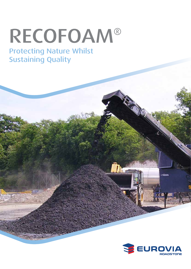# RECOFOAM®

## Protecting Nature Whilst Sustaining Quality

THREE CITY



Îh.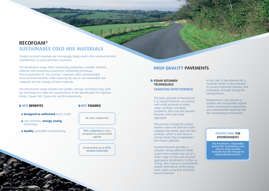

## RECOFOAM ®**SUSTAINABLE COLD MIX MATERIALS**

Treated recycled materials are increasingly being used in the construction and maintenance of road pavement structures.

The Recofoam® range offers contracting authorities a simple, efficient, effective and economical pavement refurbishing technique. The incorporation of 'non-primary' materials offers demonstrable environmental benefits while reducing the use of non-renewable raw materials and the storage of inert materials.

The Recofoam® range includes two grades: Storage and Heavy Duty, both are formulated to meet the requirements of the Specification for Highway Works, Clause 948, Classes B2 and B4 respectively.

#### **KEY BENEFITS**

### **HIGH QUALITY** PAVEMENTS

#### **FOAM BITUMEN TECHNOLOGY**

Jedna J. Biskupin

#### **TARGETED EFFECTIVENESS**

- **Designed to withstand** heavy traffic
- Low emission, **energy saving** technology
- **Quality** controlled manufacturing

**KEY FIGURES** 

**50% reduction** in CO<sub>2</sub>e compared to conventional asphalt

The basic principle of Recofoam® is to expand bitumen via contact with small amounts of water under carefully controlled conditions; then mix the foamed bitumen with cold moist aggregate.

The process is based on surface tension: when the bitumen foam collapses the binder grips the fine particles, which in turn forms a strong mortar that encapsulates the coarser particles.

Foamed bitumen provides a uniquely strong adhesive binder system that enables the use of a wider range of new and recycled aggregates. Recofoam® is often as strong, after curing as conventional asphalt alternatives whilst being more rapid curing than emulsion bound materials.

**20** years experience

Incorporating up to **85% recyled materials**

In the case of Recofoam® HD, a hydraulic binder is also included to ensure improved cohesion and immediate strength during the curing process.

Recofoam® is also proven to stablise and encapsulate asphalt waste containing tar preventing any contamination leaching into the surrounding environment.

#### PROTECTING THE ENVIRONMENT

The Recofoam® range helps protect the environment, not only by using recycled materials but also through its cold production process.